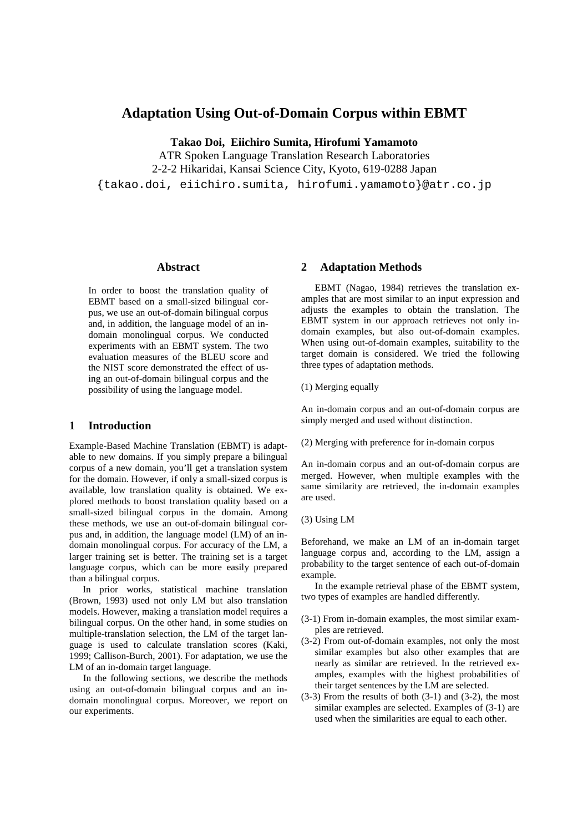# **Adaptation Using Out-of-Domain Corpus within EBMT**

**Takao Doi, Eiichiro Sumita, Hirofumi Yamamoto** 

ATR Spoken Language Translation Research Laboratories 2-2-2 Hikaridai, Kansai Science City, Kyoto, 619-0288 Japan {takao.doi, eiichiro.sumita, hirofumi.yamamoto}@atr.co.jp

#### **Abstract**

In order to boost the translation quality of EBMT based on a small-sized bilingual corpus, we use an out-of-domain bilingual corpus and, in addition, the language model of an indomain monolingual corpus. We conducted experiments with an EBMT system. The two evaluation measures of the BLEU score and the NIST score demonstrated the effect of using an out-of-domain bilingual corpus and the possibility of using the language model.

# **1 Introduction**

Example-Based Machine Translation (EBMT) is adaptable to new domains. If you simply prepare a bilingual corpus of a new domain, you'll get a translation system for the domain. However, if only a small-sized corpus is available, low translation quality is obtained. We explored methods to boost translation quality based on a small-sized bilingual corpus in the domain. Among these methods, we use an out-of-domain bilingual corpus and, in addition, the language model (LM) of an indomain monolingual corpus. For accuracy of the LM, a larger training set is better. The training set is a target language corpus, which can be more easily prepared than a bilingual corpus.

In prior works, statistical machine translation (Brown, 1993) used not only LM but also translation models. However, making a translation model requires a bilingual corpus. On the other hand, in some studies on multiple-translation selection, the LM of the target language is used to calculate translation scores (Kaki, 1999; Callison-Burch, 2001). For adaptation, we use the LM of an in-domain target language.

In the following sections, we describe the methods using an out-of-domain bilingual corpus and an indomain monolingual corpus. Moreover, we report on our experiments.

#### **2 Adaptation Methods**

EBMT (Nagao, 1984) retrieves the translation examples that are most similar to an input expression and adjusts the examples to obtain the translation. The EBMT system in our approach retrieves not only indomain examples, but also out-of-domain examples. When using out-of-domain examples, suitability to the target domain is considered. We tried the following three types of adaptation methods.

(1) Merging equally

An in-domain corpus and an out-of-domain corpus are simply merged and used without distinction.

(2) Merging with preference for in-domain corpus

An in-domain corpus and an out-of-domain corpus are merged. However, when multiple examples with the same similarity are retrieved, the in-domain examples are used.

(3) Using LM

Beforehand, we make an LM of an in-domain target language corpus and, according to the LM, assign a probability to the target sentence of each out-of-domain example.

In the example retrieval phase of the EBMT system, two types of examples are handled differently.

- (3-1) From in-domain examples, the most similar examples are retrieved.
- (3-2) From out-of-domain examples, not only the most similar examples but also other examples that are nearly as similar are retrieved. In the retrieved examples, examples with the highest probabilities of their target sentences by the LM are selected.
- $(3-3)$  From the results of both  $(3-1)$  and  $(3-2)$ , the most similar examples are selected. Examples of (3-1) are used when the similarities are equal to each other.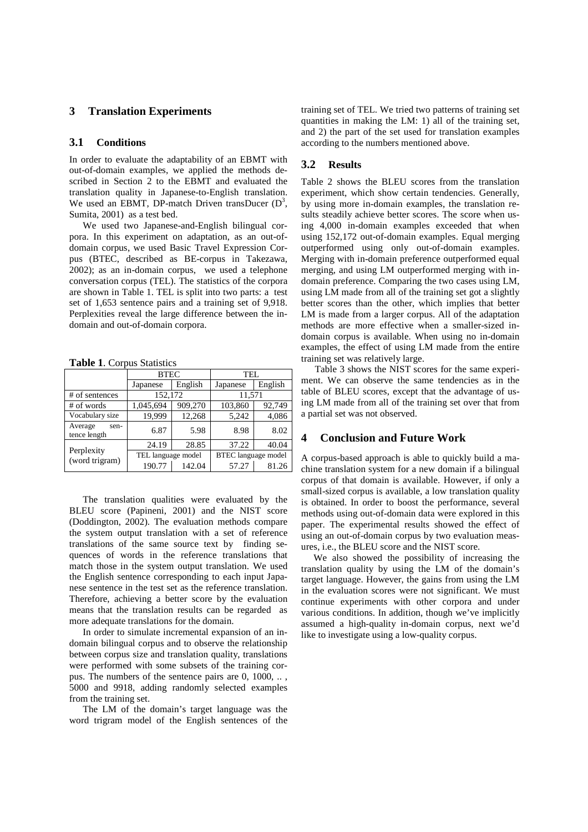## **3 Translation Experiments**

#### **3.1 Conditions**

In order to evaluate the adaptability of an EBMT with out-of-domain examples, we applied the methods described in Section  $2$  to the EBMT and evaluated the translation quality in Japanese-to-English translation. We used an EBMT, DP-match Driven transDucer  $(D^3)$ , Sumita, 2001) as a test bed.

We used two Japanese-and-English bilingual corpora. In this experiment on adaptation, as an out-ofdomain corpus, we used Basic Travel Expression Corpus (BTEC, described as BE-corpus in Takezawa, 2002); as an in-domain corpus, we used a telephone conversation corpus (TEL). The statistics of the corpora are shown in Table 1. TEL is split into two parts: a test set of 1,653 sentence pairs and a training set of 9,918. Perplexities reveal the large difference between the indomain and out-of-domain corpora.

**Table 1**. Corpus Statistics

|                                 | <b>BTEC</b>        |         | TEL.                       |         |  |  |
|---------------------------------|--------------------|---------|----------------------------|---------|--|--|
|                                 | Japanese           | English | Japanese                   | English |  |  |
| # of sentences                  | 152,172            |         | 11,571                     |         |  |  |
| # of words                      | 1,045,694          | 909,270 | 103,860                    | 92,749  |  |  |
| Vocabulary size                 | 19.999             | 12,268  | 5,242                      | 4,086   |  |  |
| Average<br>sen-<br>tence length | 6.87               | 5.98    | 8.98                       | 8.02    |  |  |
| Perplexity<br>(word trigram)    | 24.19              | 28.85   | 37.22                      | 40.04   |  |  |
|                                 | TEL language model |         | <b>BTEC</b> language model |         |  |  |
|                                 | 190.77             | 142.04  | 57.27                      | 81.26   |  |  |

The translation qualities were evaluated by the BLEU score (Papineni, 2001) and the NIST score (Doddington, 2002). The evaluation methods compare the system output translation with a set of reference translations of the same source text by finding sequences of words in the reference translations that match those in the system output translation. We used the English sentence corresponding to each input Japanese sentence in the test set as the reference translation. Therefore, achieving a better score by the evaluation means that the translation results can be regarded as more adequate translations for the domain.

In order to simulate incremental expansion of an indomain bilingual corpus and to observe the relationship between corpus size and translation quality, translations were performed with some subsets of the training corpus. The numbers of the sentence pairs are 0, 1000, .. , 5000 and 9918, adding randomly selected examples from the training set.

The LM of the domain's target language was the word trigram model of the English sentences of the

training set of TEL. We tried two patterns of training set quantities in making the LM: 1) all of the training set, and 2) the part of the set used for translation examples according to the numbers mentioned above.

## **3.2 Results**

Table 2 shows the BLEU scores from the translation experiment, which show certain tendencies. Generally, by using more in-domain examples, the translation results steadily achieve better scores. The score when using 4,000 in-domain examples exceeded that when using 152,172 out-of-domain examples. Equal merging outperformed using only out-of-domain examples. Merging with in-domain preference outperformed equal merging, and using LM outperformed merging with indomain preference. Comparing the two cases using LM, using LM made from all of the training set got a slightly better scores than the other, which implies that better LM is made from a larger corpus. All of the adaptation methods are more effective when a smaller-sized indomain corpus is available. When using no in-domain examples, the effect of using LM made from the entire training set was relatively large.

Table 3 shows the NIST scores for the same experiment. We can observe the same tendencies as in the table of BLEU scores, except that the advantage of using LM made from all of the training set over that from a partial set was not observed.

## **4 Conclusion and Future Work**

A corpus-based approach is able to quickly build a machine translation system for a new domain if a bilingual corpus of that domain is available. However, if only a small-sized corpus is available, a low translation quality is obtained. In order to boost the performance, several methods using out-of-domain data were explored in this paper. The experimental results showed the effect of using an out-of-domain corpus by two evaluation measures, i.e., the BLEU score and the NIST score.

We also showed the possibility of increasing the translation quality by using the LM of the domain's target language. However, the gains from using the LM in the evaluation scores were not significant. We must continue experiments with other corpora and under various conditions. In addition, though we've implicitly assumed a high-quality in-domain corpus, next we'd like to investigate using a low-quality corpus.